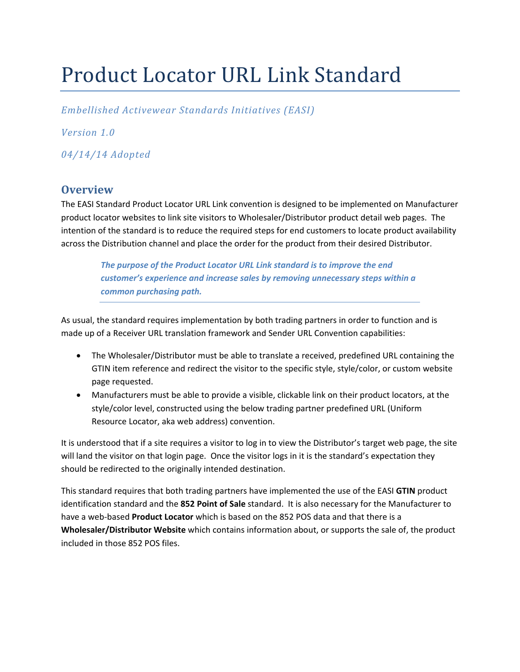# Product Locator URL Link Standard

*Embellished Activewear Standards Initiatives (EASI)*

*Version 1.0* 

*04/14/14 Adopted*

# **Overview**

The EASI Standard Product Locator URL Link convention is designed to be implemented on Manufacturer product locator websites to link site visitors to Wholesaler/Distributor product detail web pages. The intention of the standard is to reduce the required steps for end customers to locate product availability across the Distribution channel and place the order for the product from their desired Distributor.

*The purpose of the Product Locator URL Link standard is to improve the end customer's experience and increase sales by removing unnecessary steps within a common purchasing path.*

As usual, the standard requires implementation by both trading partners in order to function and is made up of a Receiver URL translation framework and Sender URL Convention capabilities:

- The Wholesaler/Distributor must be able to translate a received, predefined URL containing the GTIN item reference and redirect the visitor to the specific style, style/color, or custom website page requested.
- Manufacturers must be able to provide a visible, clickable link on their product locators, at the style/color level, constructed using the below trading partner predefined URL (Uniform Resource Locator, aka web address) convention.

It is understood that if a site requires a visitor to log in to view the Distributor's target web page, the site will land the visitor on that login page. Once the visitor logs in it is the standard's expectation they should be redirected to the originally intended destination.

This standard requires that both trading partners have implemented the use of the EASI **GTIN** product identification standard and the **852 Point of Sale** standard. It is also necessary for the Manufacturer to have a web‐based **Product Locator** which is based on the 852 POS data and that there is a **Wholesaler/Distributor Website** which contains information about, or supports the sale of, the product included in those 852 POS files.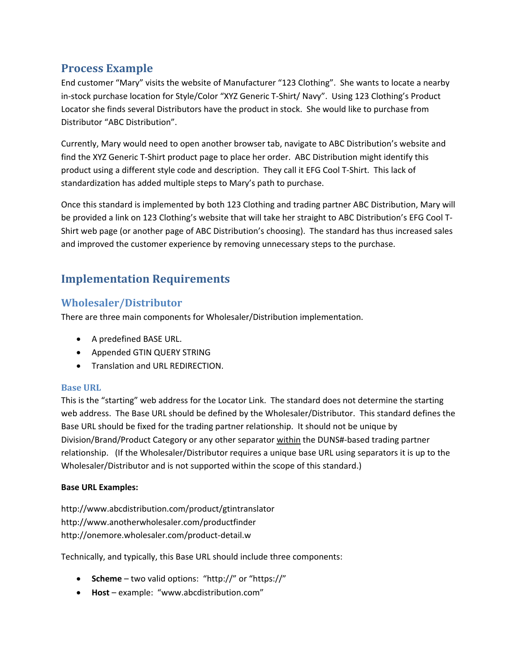# **Process Example**

End customer "Mary" visits the website of Manufacturer "123 Clothing". She wants to locate a nearby in‐stock purchase location for Style/Color "XYZ Generic T‐Shirt/ Navy". Using 123 Clothing's Product Locator she finds several Distributors have the product in stock. She would like to purchase from Distributor "ABC Distribution".

Currently, Mary would need to open another browser tab, navigate to ABC Distribution's website and find the XYZ Generic T-Shirt product page to place her order. ABC Distribution might identify this product using a different style code and description. They call it EFG Cool T‐Shirt. This lack of standardization has added multiple steps to Mary's path to purchase.

Once this standard is implemented by both 123 Clothing and trading partner ABC Distribution, Mary will be provided a link on 123 Clothing's website that will take her straight to ABC Distribution's EFG Cool T‐ Shirt web page (or another page of ABC Distribution's choosing). The standard has thus increased sales and improved the customer experience by removing unnecessary steps to the purchase.

# **Implementation Requirements**

# **Wholesaler/Distributor**

There are three main components for Wholesaler/Distribution implementation.

- A predefined BASE URL.
- Appended GTIN QUERY STRING
- **•** Translation and URL REDIRECTION.

# **Base URL**

This is the "starting" web address for the Locator Link. The standard does not determine the starting web address. The Base URL should be defined by the Wholesaler/Distributor. This standard defines the Base URL should be fixed for the trading partner relationship. It should not be unique by Division/Brand/Product Category or any other separator within the DUNS#‐based trading partner relationship. (If the Wholesaler/Distributor requires a unique base URL using separators it is up to the Wholesaler/Distributor and is not supported within the scope of this standard.)

# **Base URL Examples:**

http://www.abcdistribution.com/product/gtintranslator http://www.anotherwholesaler.com/productfinder http://onemore.wholesaler.com/product‐detail.w

Technically, and typically, this Base URL should include three components:

- **Scheme** two valid options: "http://" or "https://"
- **Host** example: "www.abcdistribution.com"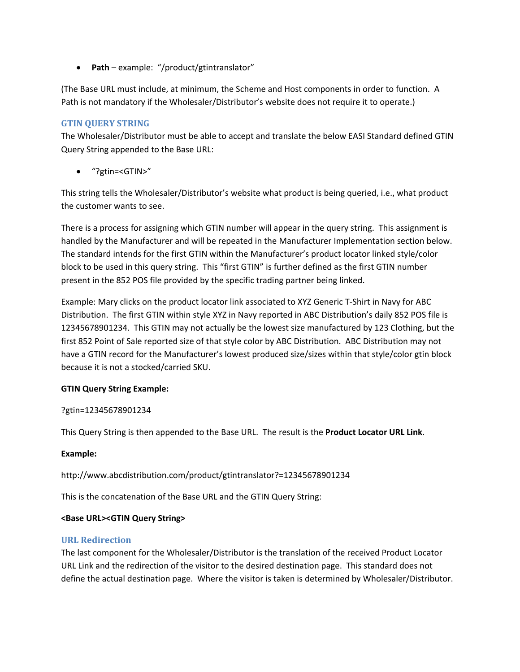**Path** – example: "/product/gtintranslator"

(The Base URL must include, at minimum, the Scheme and Host components in order to function. A Path is not mandatory if the Wholesaler/Distributor's website does not require it to operate.)

# **GTIN QUERY STRING**

The Wholesaler/Distributor must be able to accept and translate the below EASI Standard defined GTIN Query String appended to the Base URL:

"?gtin=<GTIN>"

This string tells the Wholesaler/Distributor's website what product is being queried, i.e., what product the customer wants to see.

There is a process for assigning which GTIN number will appear in the query string. This assignment is handled by the Manufacturer and will be repeated in the Manufacturer Implementation section below. The standard intends for the first GTIN within the Manufacturer's product locator linked style/color block to be used in this query string. This "first GTIN" is further defined as the first GTIN number present in the 852 POS file provided by the specific trading partner being linked.

Example: Mary clicks on the product locator link associated to XYZ Generic T‐Shirt in Navy for ABC Distribution. The first GTIN within style XYZ in Navy reported in ABC Distribution's daily 852 POS file is 12345678901234. This GTIN may not actually be the lowest size manufactured by 123 Clothing, but the first 852 Point of Sale reported size of that style color by ABC Distribution. ABC Distribution may not have a GTIN record for the Manufacturer's lowest produced size/sizes within that style/color gtin block because it is not a stocked/carried SKU.

# **GTIN Query String Example:**

# ?gtin=12345678901234

This Query String is then appended to the Base URL. The result is the **Product Locator URL Link**.

#### Example:

http://www.abcdistribution.com/product/gtintranslator?=12345678901234

This is the concatenation of the Base URL and the GTIN Query String:

#### **<Base URL><GTIN Query String>**

#### **URL Redirection**

The last component for the Wholesaler/Distributor is the translation of the received Product Locator URL Link and the redirection of the visitor to the desired destination page. This standard does not define the actual destination page. Where the visitor is taken is determined by Wholesaler/Distributor.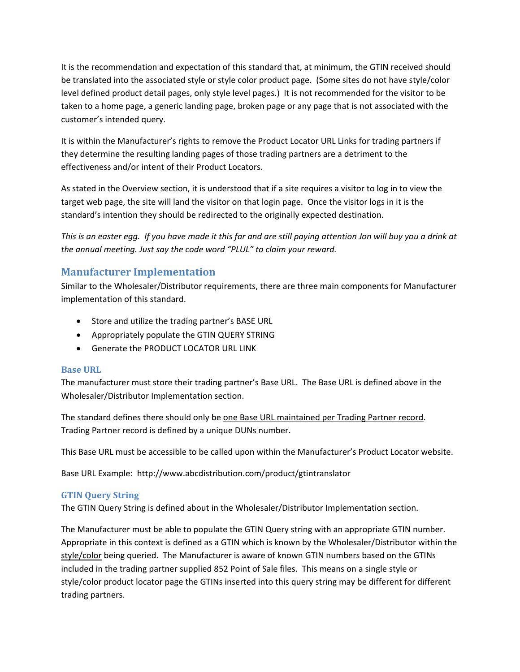It is the recommendation and expectation of this standard that, at minimum, the GTIN received should be translated into the associated style or style color product page. (Some sites do not have style/color level defined product detail pages, only style level pages.) It is not recommended for the visitor to be taken to a home page, a generic landing page, broken page or any page that is not associated with the customer's intended query.

It is within the Manufacturer's rights to remove the Product Locator URL Links for trading partners if they determine the resulting landing pages of those trading partners are a detriment to the effectiveness and/or intent of their Product Locators.

As stated in the Overview section, it is understood that if a site requires a visitor to log in to view the target web page, the site will land the visitor on that login page. Once the visitor logs in it is the standard's intention they should be redirected to the originally expected destination.

This is an easter egg. If you have made it this far and are still paying attention Jon will buy you a drink at *the annual meeting. Just say the code word "PLUL" to claim your reward.*

# **Manufacturer Implementation**

Similar to the Wholesaler/Distributor requirements, there are three main components for Manufacturer implementation of this standard.

- Store and utilize the trading partner's BASE URL
- Appropriately populate the GTIN QUERY STRING
- Generate the PRODUCT LOCATOR URL LINK

# **Base URL**

The manufacturer must store their trading partner's Base URL. The Base URL is defined above in the Wholesaler/Distributor Implementation section.

The standard defines there should only be one Base URL maintained per Trading Partner record. Trading Partner record is defined by a unique DUNs number.

This Base URL must be accessible to be called upon within the Manufacturer's Product Locator website.

Base URL Example: http://www.abcdistribution.com/product/gtintranslator

# **GTIN Query String**

The GTIN Query String is defined about in the Wholesaler/Distributor Implementation section.

The Manufacturer must be able to populate the GTIN Query string with an appropriate GTIN number. Appropriate in this context is defined as a GTIN which is known by the Wholesaler/Distributor within the style/color being queried. The Manufacturer is aware of known GTIN numbers based on the GTINs included in the trading partner supplied 852 Point of Sale files. This means on a single style or style/color product locator page the GTINs inserted into this query string may be different for different trading partners.